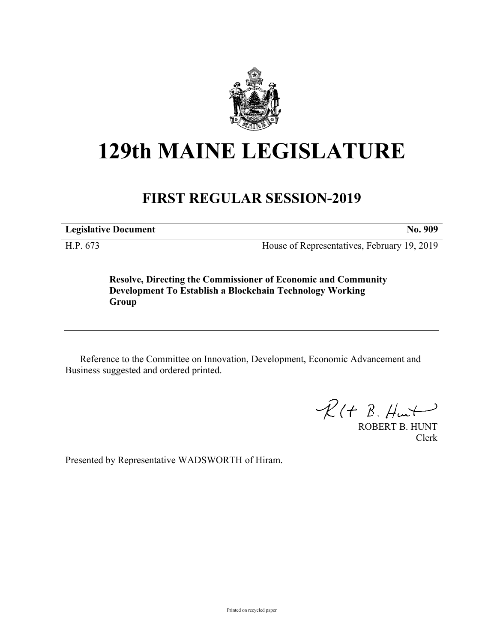

## **129th MAINE LEGISLATURE**

## **FIRST REGULAR SESSION-2019**

**Legislative Document No. 909**

H.P. 673 House of Representatives, February 19, 2019

**Resolve, Directing the Commissioner of Economic and Community Development To Establish a Blockchain Technology Working Group**

Reference to the Committee on Innovation, Development, Economic Advancement and Business suggested and ordered printed.

 $R(H B. H<sub>un</sub>)$ 

ROBERT B. HUNT Clerk

Presented by Representative WADSWORTH of Hiram.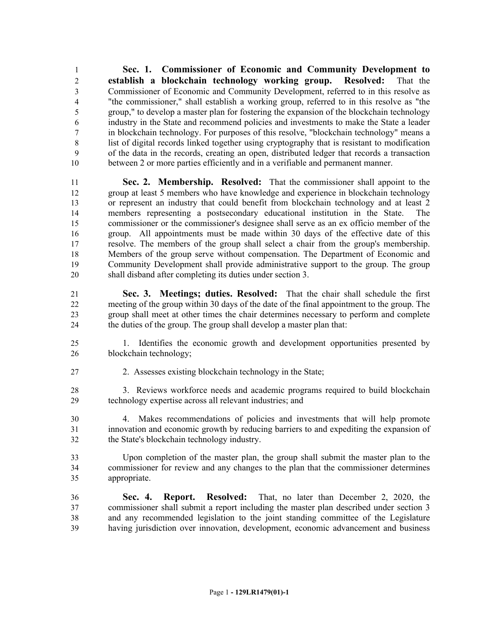**Sec. 1. Commissioner of Economic and Community Development to establish a blockchain technology working group. Resolved:** That the Commissioner of Economic and Community Development, referred to in this resolve as "the commissioner," shall establish a working group, referred to in this resolve as "the group," to develop a master plan for fostering the expansion of the blockchain technology industry in the State and recommend policies and investments to make the State a leader in blockchain technology. For purposes of this resolve, "blockchain technology" means a list of digital records linked together using cryptography that is resistant to modification of the data in the records, creating an open, distributed ledger that records a transaction between 2 or more parties efficiently and in a verifiable and permanent manner.

 **Sec. 2. Membership. Resolved:** That the commissioner shall appoint to the group at least 5 members who have knowledge and experience in blockchain technology or represent an industry that could benefit from blockchain technology and at least 2 members representing a postsecondary educational institution in the State. The commissioner or the commissioner's designee shall serve as an ex officio member of the group. All appointments must be made within 30 days of the effective date of this resolve. The members of the group shall select a chair from the group's membership. Members of the group serve without compensation. The Department of Economic and Community Development shall provide administrative support to the group. The group shall disband after completing its duties under section 3.

 **Sec. 3. Meetings; duties. Resolved:** That the chair shall schedule the first meeting of the group within 30 days of the date of the final appointment to the group. The group shall meet at other times the chair determines necessary to perform and complete the duties of the group. The group shall develop a master plan that:

 1. Identifies the economic growth and development opportunities presented by blockchain technology;

2. Assesses existing blockchain technology in the State;

 3. Reviews workforce needs and academic programs required to build blockchain technology expertise across all relevant industries; and

 4. Makes recommendations of policies and investments that will help promote innovation and economic growth by reducing barriers to and expediting the expansion of the State's blockchain technology industry.

 Upon completion of the master plan, the group shall submit the master plan to the commissioner for review and any changes to the plan that the commissioner determines appropriate.

 **Sec. 4. Report. Resolved:** That, no later than December 2, 2020, the commissioner shall submit a report including the master plan described under section 3 and any recommended legislation to the joint standing committee of the Legislature having jurisdiction over innovation, development, economic advancement and business